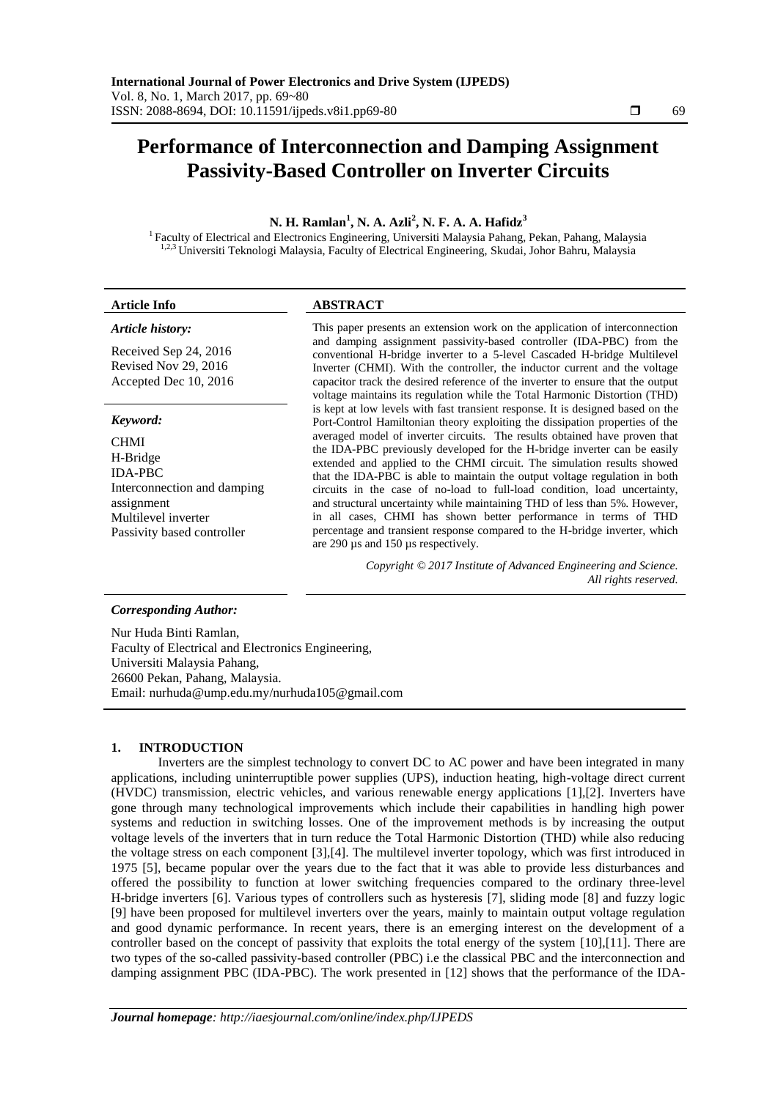# **Performance of Interconnection and Damping Assignment Passivity-Based Controller on Inverter Circuits**

# **N. H. Ramlan<sup>1</sup> , N. A. Azli<sup>2</sup> , N. F. A. A. Hafidz<sup>3</sup>**

<sup>1</sup> Faculty of Electrical and Electronics Engineering, Universiti Malaysia Pahang, Pekan, Pahang, Malaysia <sup>1,2,3</sup> Universiti Teknologi Malaysia, Faculty of Electrical Engineering, Skudai, Johor Bahru, Malaysia

| <b>Article Info</b>                                                                                                                                     | <b>ABSTRACT</b>                                                                                                                                                                                                                                                                                                                                                                                                                                                                                                                                                                                                                                                                                                                                                                                                                                                                                                                                                                                                                                                                                                                                                                                                                                                                                                         |
|---------------------------------------------------------------------------------------------------------------------------------------------------------|-------------------------------------------------------------------------------------------------------------------------------------------------------------------------------------------------------------------------------------------------------------------------------------------------------------------------------------------------------------------------------------------------------------------------------------------------------------------------------------------------------------------------------------------------------------------------------------------------------------------------------------------------------------------------------------------------------------------------------------------------------------------------------------------------------------------------------------------------------------------------------------------------------------------------------------------------------------------------------------------------------------------------------------------------------------------------------------------------------------------------------------------------------------------------------------------------------------------------------------------------------------------------------------------------------------------------|
| Article history:<br>Received Sep 24, 2016<br>Revised Nov 29, 2016<br>Accepted Dec 10, 2016                                                              | This paper presents an extension work on the application of interconnection<br>and damping assignment passivity-based controller (IDA-PBC) from the<br>conventional H-bridge inverter to a 5-level Cascaded H-bridge Multilevel<br>Inverter (CHMI). With the controller, the inductor current and the voltage<br>capacitor track the desired reference of the inverter to ensure that the output<br>voltage maintains its regulation while the Total Harmonic Distortion (THD)<br>is kept at low levels with fast transient response. It is designed based on the<br>Port-Control Hamiltonian theory exploiting the dissipation properties of the<br>averaged model of inverter circuits. The results obtained have proven that<br>the IDA-PBC previously developed for the H-bridge inverter can be easily<br>extended and applied to the CHMI circuit. The simulation results showed<br>that the IDA-PBC is able to maintain the output voltage regulation in both<br>circuits in the case of no-load to full-load condition, load uncertainty,<br>and structural uncertainty while maintaining THD of less than 5%. However,<br>in all cases, CHMI has shown better performance in terms of THD<br>percentage and transient response compared to the H-bridge inverter, which<br>are 290 µs and 150 µs respectively. |
| Keyword:<br><b>CHMI</b><br>H-Bridge<br><b>IDA-PBC</b><br>Interconnection and damping<br>assignment<br>Multilevel inverter<br>Passivity based controller |                                                                                                                                                                                                                                                                                                                                                                                                                                                                                                                                                                                                                                                                                                                                                                                                                                                                                                                                                                                                                                                                                                                                                                                                                                                                                                                         |
|                                                                                                                                                         | Copyright © 2017 Institute of Advanced Engineering and Science.<br>All rights reserved.                                                                                                                                                                                                                                                                                                                                                                                                                                                                                                                                                                                                                                                                                                                                                                                                                                                                                                                                                                                                                                                                                                                                                                                                                                 |
| Corresponding Author:                                                                                                                                   |                                                                                                                                                                                                                                                                                                                                                                                                                                                                                                                                                                                                                                                                                                                                                                                                                                                                                                                                                                                                                                                                                                                                                                                                                                                                                                                         |

Nur Huda Binti Ramlan, Faculty of Electrical and Electronics Engineering, Universiti Malaysia Pahang, 26600 Pekan, Pahang, Malaysia. Email: nurhuda@ump.edu.my/nurhuda105@gmail.com

# **1. INTRODUCTION**

Inverters are the simplest technology to convert DC to AC power and have been integrated in many applications, including uninterruptible power supplies (UPS), induction heating, high-voltage direct current (HVDC) transmission, electric vehicles, and various renewable energy applications [1],[2]. Inverters have gone through many technological improvements which include their capabilities in handling high power systems and reduction in switching losses. One of the improvement methods is by increasing the output voltage levels of the inverters that in turn reduce the Total Harmonic Distortion (THD) while also reducing the voltage stress on each component [3],[4]. The multilevel inverter topology, which was first introduced in 1975 [5], became popular over the years due to the fact that it was able to provide less disturbances and offered the possibility to function at lower switching frequencies compared to the ordinary three-level H-bridge inverters [6]. Various types of controllers such as hysteresis [7], sliding mode [8] and fuzzy logic [9] have been proposed for multilevel inverters over the years, mainly to maintain output voltage regulation and good dynamic performance. In recent years, there is an emerging interest on the development of a controller based on the concept of passivity that exploits the total energy of the system [10],[11]. There are two types of the so-called passivity-based controller (PBC) i.e the classical PBC and the interconnection and damping assignment PBC (IDA-PBC). The work presented in [12] shows that the performance of the IDA-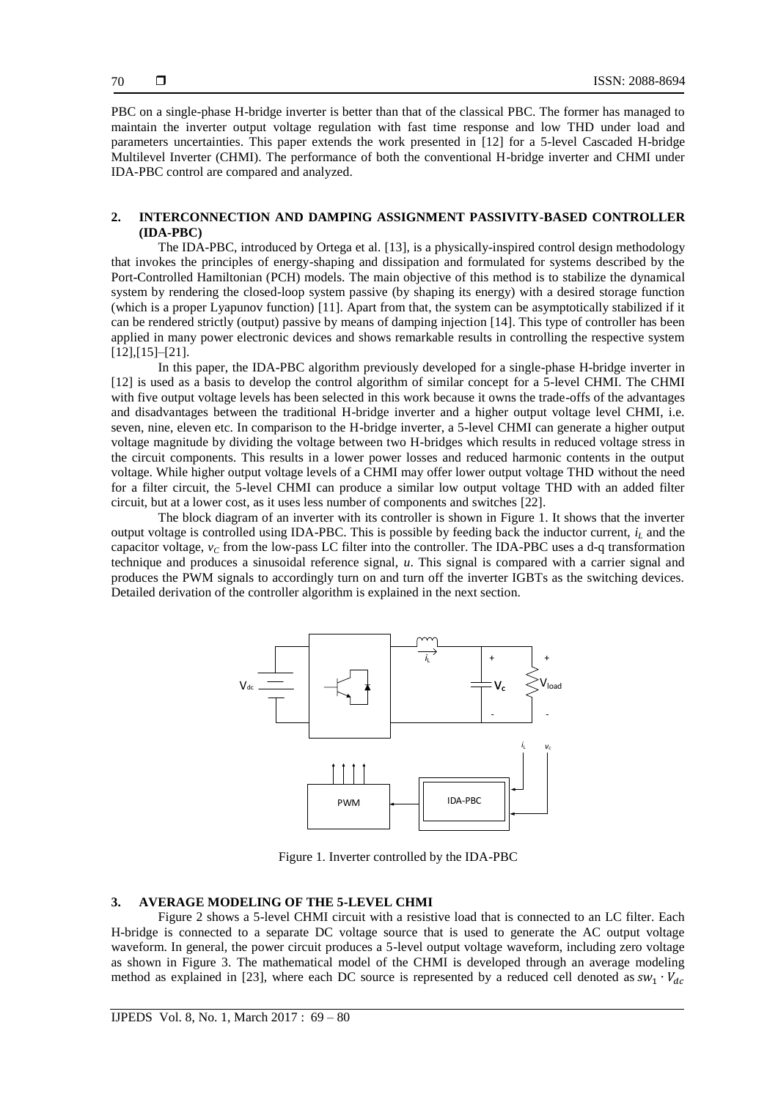PBC on a single-phase H-bridge inverter is better than that of the classical PBC. The former has managed to maintain the inverter output voltage regulation with fast time response and low THD under load and parameters uncertainties. This paper extends the work presented in [12] for a 5-level Cascaded H-bridge Multilevel Inverter (CHMI). The performance of both the conventional H-bridge inverter and CHMI under IDA-PBC control are compared and analyzed.

## **2. INTERCONNECTION AND DAMPING ASSIGNMENT PASSIVITY-BASED CONTROLLER (IDA-PBC)**

The IDA-PBC, introduced by Ortega et al. [13], is a physically-inspired control design methodology that invokes the principles of energy-shaping and dissipation and formulated for systems described by the Port-Controlled Hamiltonian (PCH) models. The main objective of this method is to stabilize the dynamical system by rendering the closed-loop system passive (by shaping its energy) with a desired storage function (which is a proper Lyapunov function) [11]. Apart from that, the system can be asymptotically stabilized if it can be rendered strictly (output) passive by means of damping injection [14]. This type of controller has been applied in many power electronic devices and shows remarkable results in controlling the respective system [12],[15]–[21].

In this paper, the IDA-PBC algorithm previously developed for a single-phase H-bridge inverter in [12] is used as a basis to develop the control algorithm of similar concept for a 5-level CHMI. The CHMI with five output voltage levels has been selected in this work because it owns the trade-offs of the advantages and disadvantages between the traditional H-bridge inverter and a higher output voltage level CHMI, i.e. seven, nine, eleven etc. In comparison to the H-bridge inverter, a 5-level CHMI can generate a higher output voltage magnitude by dividing the voltage between two H-bridges which results in reduced voltage stress in the circuit components. This results in a lower power losses and reduced harmonic contents in the output voltage. While higher output voltage levels of a CHMI may offer lower output voltage THD without the need for a filter circuit, the 5-level CHMI can produce a similar low output voltage THD with an added filter circuit, but at a lower cost, as it uses less number of components and switches [22].

The block diagram of an inverter with its controller is shown in Figure 1. It shows that the inverter output voltage is controlled using IDA-PBC. This is possible by feeding back the inductor current, *i<sup>L</sup>* and the capacitor voltage,  $v_C$  from the low-pass LC filter into the controller. The IDA-PBC uses a d-q transformation technique and produces a sinusoidal reference signal, *u*. This signal is compared with a carrier signal and produces the PWM signals to accordingly turn on and turn off the inverter IGBTs as the switching devices. Detailed derivation of the controller algorithm is explained in the next section.



Figure 1. Inverter controlled by the IDA-PBC

# **3. AVERAGE MODELING OF THE 5-LEVEL CHMI**

Figure 2 shows a 5-level CHMI circuit with a resistive load that is connected to an LC filter. Each H-bridge is connected to a separate DC voltage source that is used to generate the AC output voltage waveform. In general, the power circuit produces a 5-level output voltage waveform, including zero voltage as shown in Figure 3. The mathematical model of the CHMI is developed through an average modeling method as explained in [23], where each DC source is represented by a reduced cell denoted as  $sw_1$ .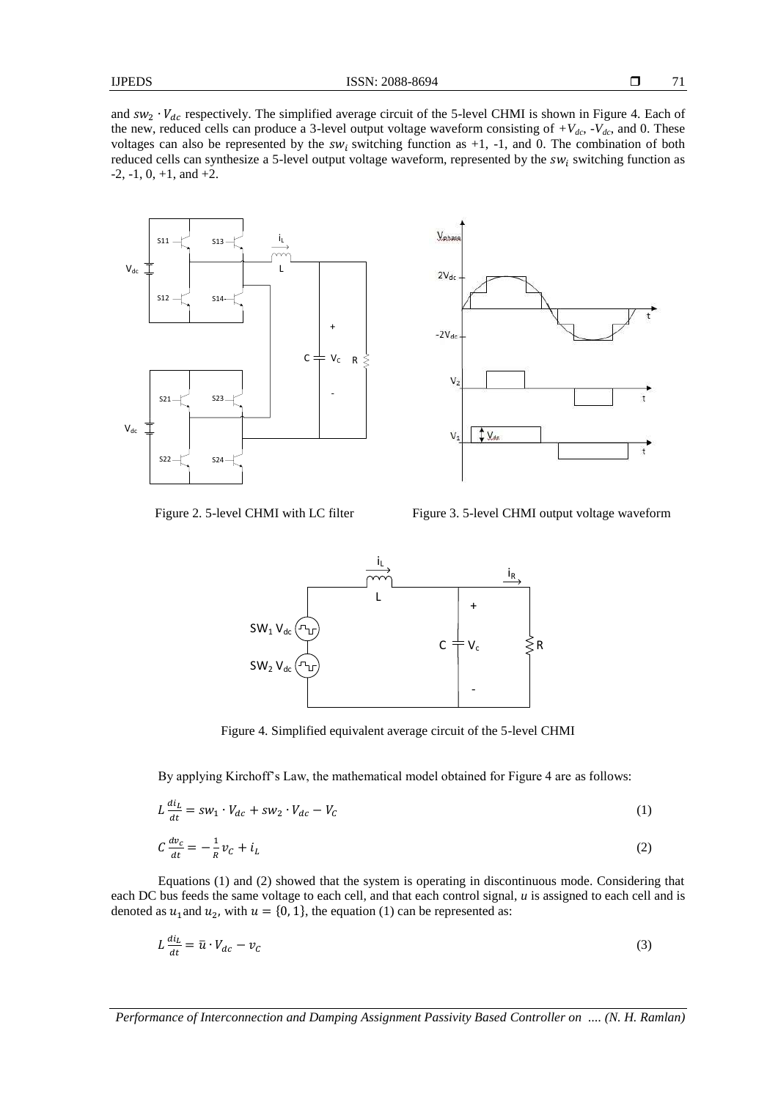71

and  $sw_2 \cdot V_{dc}$  respectively. The simplified average circuit of the 5-level CHMI is shown in Figure 4. Each of the new, reduced cells can produce a 3-level output voltage waveform consisting of  $+V_{dc}$ ,  $-V_{dc}$ , and 0. These voltages can also be represented by the  $sw_i$  switching function as +1, -1, and 0. The combination of both reduced cells can synthesize a 5-level output voltage waveform, represented by the  $sw_i$  switching function as  $-2$ ,  $-1$ ,  $0$ ,  $+1$ , and  $+2$ .





Figure 2. 5-level CHMI with LC filter Figure 3. 5-level CHMI output voltage waveform



Figure 4. Simplified equivalent average circuit of the 5-level CHMI

By applying Kirchoff's Law, the mathematical model obtained for Figure 4 are as follows:

$$
L\frac{di_L}{dt} = sw_1 \cdot V_{dc} + sw_2 \cdot V_{dc} - V_c
$$
\n<sup>(1)</sup>

$$
C\frac{dv_c}{dt} = -\frac{1}{R}v_C + i_L\tag{2}
$$

Equations (1) and (2) showed that the system is operating in discontinuous mode. Considering that each DC bus feeds the same voltage to each cell, and that each control signal, *u* is assigned to each cell and is denoted as  $u_1$  and  $u_2$ , with  $u = \{0, 1\}$ , the equation (1) can be represented as:

$$
L\frac{di_L}{dt} = \bar{u} \cdot V_{dc} - v_c \tag{3}
$$

*Performance of Interconnection and Damping Assignment Passivity Based Controller on .... (N. H. Ramlan)*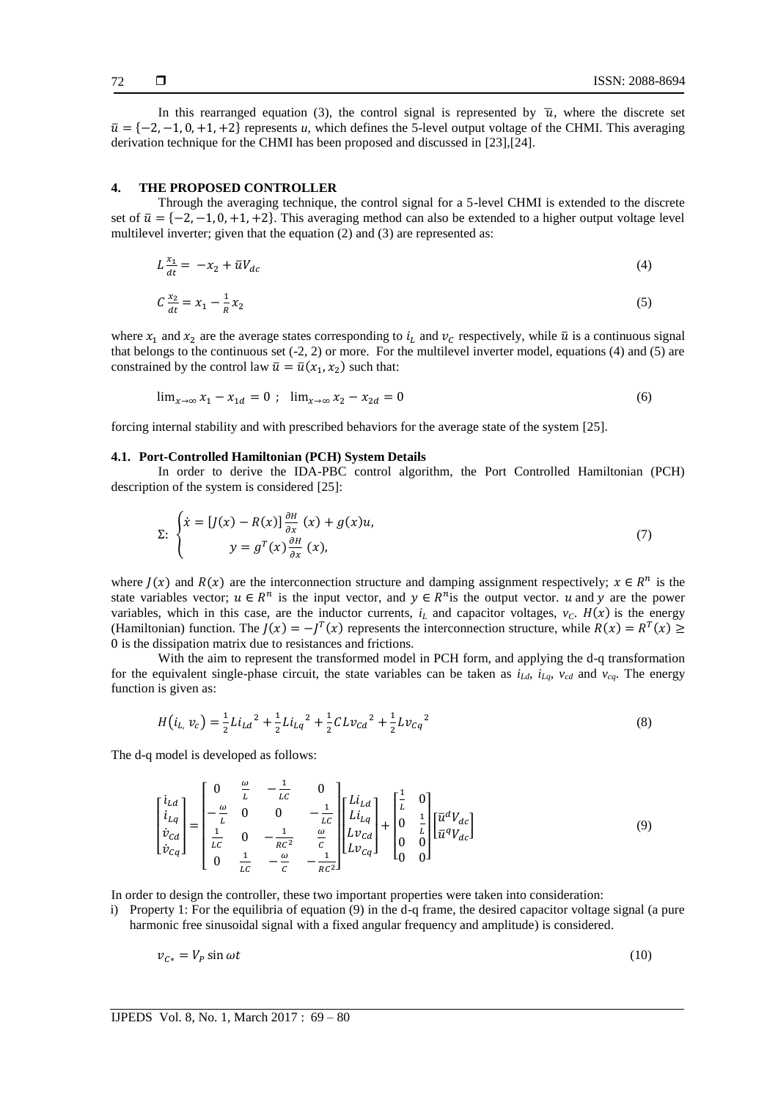In this rearranged equation (3), the control signal is represented by  $\bar{u}$ , where the discrete set  $\bar{u} = \{-2, -1, 0, +1, +2\}$  represents *u*, which defines the 5-level output voltage of the CHMI. This averaging derivation technique for the CHMI has been proposed and discussed in [23],[24].

# **4. THE PROPOSED CONTROLLER**

Through the averaging technique, the control signal for a 5-level CHMI is extended to the discrete set of  $\bar{u} = \{-2, -1, 0, +1, +2\}$ . This averaging method can also be extended to a higher output voltage level multilevel inverter; given that the equation (2) and (3) are represented as:

$$
L\frac{x_1}{dt} = -x_2 + \bar{u}V_{dc} \tag{4}
$$

$$
C\frac{x_2}{dt} = x_1 - \frac{1}{R}x_2
$$
\n(5)

where  $x_1$  and  $x_2$  are the average states corresponding to  $i_l$  and  $v_c$  respectively, while  $\bar{u}$  is a continuous signal that belongs to the continuous set  $(-2, 2)$  or more. For the multilevel inverter model, equations  $(4)$  and  $(5)$  are constrained by the control law  $\bar{u} = \bar{u}(x_1, x_2)$  such that:

$$
\lim_{x \to \infty} x_1 - x_{1d} = 0 \; ; \; \lim_{x \to \infty} x_2 - x_{2d} = 0 \tag{6}
$$

forcing internal stability and with prescribed behaviors for the average state of the system [25].

#### **4.1. Port-Controlled Hamiltonian (PCH) System Details**

In order to derive the IDA-PBC control algorithm, the Port Controlled Hamiltonian (PCH) description of the system is considered [25]:

$$
\Sigma: \begin{cases} \dot{x} = [J(x) - R(x)] \frac{\partial H}{\partial x} (x) + g(x)u, \\ y = g^T(x) \frac{\partial H}{\partial x} (x), \end{cases}
$$
(7)

where  $J(x)$  and  $R(x)$  are the interconnection structure and damping assignment respectively;  $x \in R^n$  is the state variables vector;  $u \in R^n$  is the input vector, and  $y \in R^n$  is the output vector. u and y are the power variables, which in this case, are the inductor currents,  $i<sub>L</sub>$  and capacitor voltages,  $v<sub>C</sub>$ .  $H(x)$  is the energy (Hamiltonian) function. The  $J(x) = -J^T(x)$  represents the interconnection structure, while  $R(x) = R^T(x) \ge$ 0 is the dissipation matrix due to resistances and frictions.

With the aim to represent the transformed model in PCH form, and applying the d-q transformation for the equivalent single-phase circuit, the state variables can be taken as  $i_{Ld}$ ,  $i_{Lq}$ ,  $v_{cd}$  and  $v_{cq}$ . The energy function is given as:

$$
H(i_{L,} v_c) = \frac{1}{2} L i_{Ld}^{2} + \frac{1}{2} L i_{Lq}^{2} + \frac{1}{2} CL v_{Cd}^{2} + \frac{1}{2} Lv_{Cq}^{2}
$$
\n(8)

The d-q model is developed as follows:

$$
\begin{bmatrix} i_{Ld} \\ i_{Lq} \\ \dot{v}_{Cq} \end{bmatrix} = \begin{bmatrix} 0 & \frac{\omega}{L} & -\frac{1}{LC} & 0 \\ -\frac{\omega}{L} & 0 & 0 & -\frac{1}{LC} \\ \frac{1}{LC} & 0 & -\frac{1}{RC^2} & \frac{\omega}{C} \\ 0 & \frac{1}{LC} & -\frac{\omega}{C} & -\frac{1}{RC^2} \end{bmatrix} \begin{bmatrix} Li_{Ld} \\ Li_{Lq} \\ Lv_{Cq} \end{bmatrix} + \begin{bmatrix} \frac{1}{L} & 0 \\ 0 & \frac{1}{L} \\ 0 & 0 \\ 0 & 0 \end{bmatrix} \begin{bmatrix} \bar{u}^d V_{dc} \\ \bar{u}^q V_{dc} \end{bmatrix}
$$
(9)

In order to design the controller, these two important properties were taken into consideration:

i) Property 1: For the equilibria of equation (9) in the d-q frame, the desired capacitor voltage signal (a pure harmonic free sinusoidal signal with a fixed angular frequency and amplitude) is considered.

$$
v_{C*} = V_P \sin \omega t \tag{10}
$$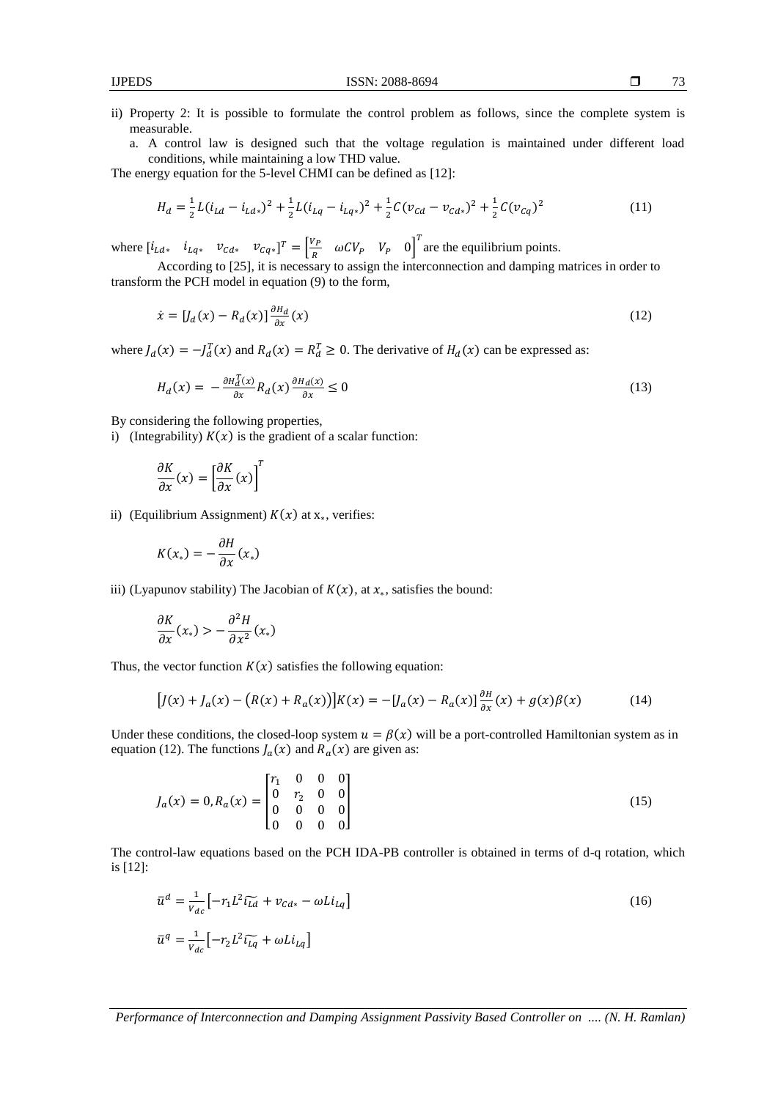- ii) Property 2: It is possible to formulate the control problem as follows, since the complete system is measurable.
	- a. A control law is designed such that the voltage regulation is maintained under different load conditions, while maintaining a low THD value.

The energy equation for the 5-level CHMI can be defined as [12]:

$$
H_d = \frac{1}{2}L(i_{Ld} - i_{Ld*})^2 + \frac{1}{2}L(i_{Lq} - i_{Lq*})^2 + \frac{1}{2}C(v_{Cd} - v_{Cd*})^2 + \frac{1}{2}C(v_{Cq})^2
$$
\n(11)

where  $[i_{Ld*} \quad i_{Lq*} \quad v_{Cd*} \quad v_{Cq*}]^{T} = \begin{bmatrix} \frac{V}{I} & \frac{V}{I} & \frac{V}{I} \\ \frac{V}{I} & \frac{V}{I} & \frac{V}{I} & \frac{V}{I} \end{bmatrix}$  $\left[\frac{V_P}{R} \quad \omega C V_P \quad V_P \quad 0\right]^T$  are the equilibrium points.

According to [25], it is necessary to assign the interconnection and damping matrices in order to transform the PCH model in equation (9) to the form,

$$
\dot{x} = [J_d(x) - R_d(x)] \frac{\partial H_d}{\partial x}(x) \tag{12}
$$

where  $J_d(x) = -J_d^T(x)$  and  $R_d(x) = R_d^T \ge 0$ . The derivative of  $H_d(x)$  can be expressed as:

$$
H_d(x) = -\frac{\partial H_d^T(x)}{\partial x} R_d(x) \frac{\partial H_d(x)}{\partial x} \le 0
$$
\n(13)

By considering the following properties,

i) (Integrability)  $K(x)$  is the gradient of a scalar function:

$$
\frac{\partial K}{\partial x}(x) = \left[\frac{\partial K}{\partial x}(x)\right]^T
$$

ii) (Equilibrium Assignment)  $K(x)$  at  $x_*$ , verifies:

$$
K(x_*) = -\frac{\partial H}{\partial x}(x_*)
$$

iii) (Lyapunov stability) The Jacobian of  $K(x)$ , at  $x_*$ , satisfies the bound:

$$
\frac{\partial K}{\partial x}(x_*) > -\frac{\partial^2 H}{\partial x^2}(x_*)
$$

Thus, the vector function  $K(x)$  satisfies the following equation:

$$
[J(x) + J_a(x) - (R(x) + R_a(x))]K(x) = -[J_a(x) - R_a(x)]\frac{\partial H}{\partial x}(x) + g(x)\beta(x)
$$
(14)

Under these conditions, the closed-loop system  $u = \beta(x)$  will be a port-controlled Hamiltonian system as in equation (12). The functions  $J_a(x)$  and  $R_a(x)$  are given as:

$$
J_a(x) = 0, R_a(x) = \begin{bmatrix} r_1 & 0 & 0 & 0 \\ 0 & r_2 & 0 & 0 \\ 0 & 0 & 0 & 0 \\ 0 & 0 & 0 & 0 \end{bmatrix}
$$
 (15)

The control-law equations based on the PCH IDA-PB controller is obtained in terms of d-q rotation, which is [12]:

$$
\overline{u}^d = \frac{1}{v_{dc}} \left[ -r_1 L^2 \widetilde{t_{Ld}} + v_{cd*} - \omega L i_{Lq} \right]
$$
\n
$$
\overline{u}^q = \frac{1}{v_{dc}} \left[ -r_2 L^2 \widetilde{t_{Lq}} + \omega L i_{Lq} \right]
$$
\n(16)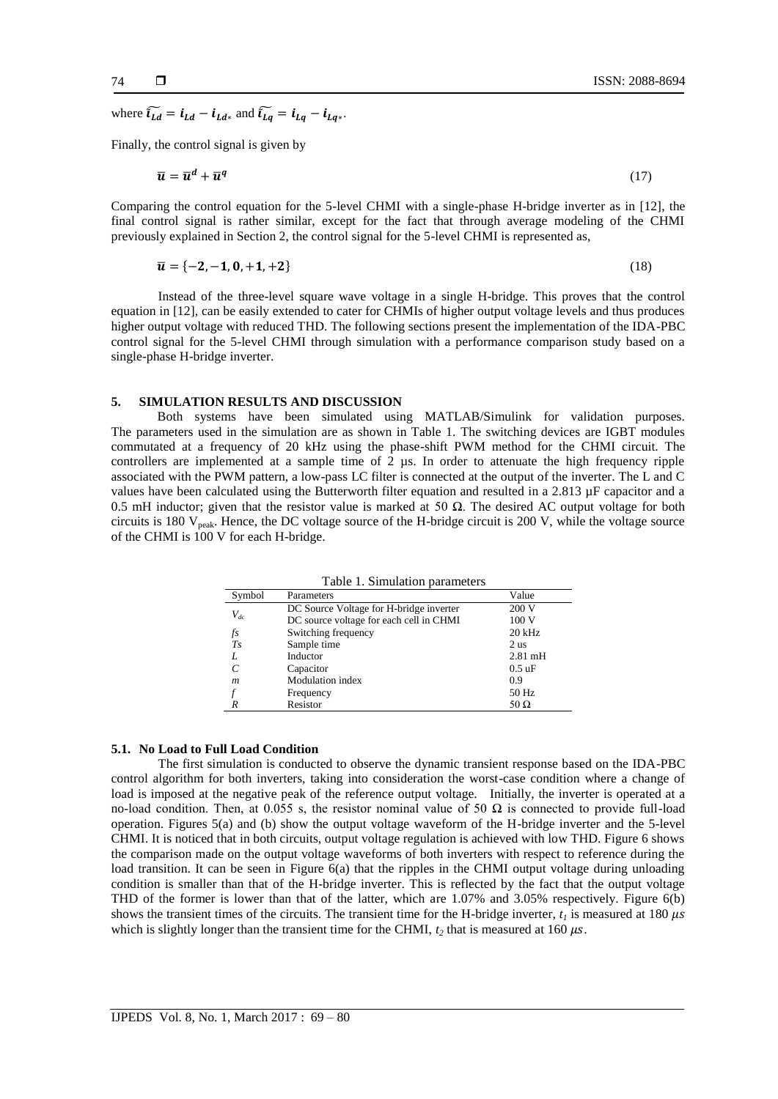where  $\widetilde{i_{Ld}} = i_{Ld} - i_{Ld*}$  and  $\widetilde{i_{Lq}} = i_{Lq} - i_{Lq*}$ .

Finally, the control signal is given by

$$
\overline{u} = \overline{u}^d + \overline{u}^q \tag{17}
$$

Comparing the control equation for the 5-level CHMI with a single-phase H-bridge inverter as in [12], the final control signal is rather similar, except for the fact that through average modeling of the CHMI previously explained in Section 2, the control signal for the 5-level CHMI is represented as,

$$
\overline{u} = \{-2, -1, 0, +1, +2\} \tag{18}
$$

Instead of the three-level square wave voltage in a single H-bridge. This proves that the control equation in [12], can be easily extended to cater for CHMIs of higher output voltage levels and thus produces higher output voltage with reduced THD. The following sections present the implementation of the IDA-PBC control signal for the 5-level CHMI through simulation with a performance comparison study based on a single-phase H-bridge inverter.

#### **5. SIMULATION RESULTS AND DISCUSSION**

Both systems have been simulated using MATLAB/Simulink for validation purposes. The parameters used in the simulation are as shown in Table 1. The switching devices are IGBT modules commutated at a frequency of 20 kHz using the phase-shift PWM method for the CHMI circuit. The controllers are implemented at a sample time of 2 µs. In order to attenuate the high frequency ripple associated with the PWM pattern, a low-pass LC filter is connected at the output of the inverter. The L and C values have been calculated using the Butterworth filter equation and resulted in a 2.813 µF capacitor and a 0.5 mH inductor; given that the resistor value is marked at 50  $\Omega$ . The desired AC output voltage for both circuits is 180 Vpeak. Hence, the DC voltage source of the H-bridge circuit is 200 V, while the voltage source of the CHMI is 100 V for each H-bridge.

| Symbol           | Parameters                              | Value             |
|------------------|-----------------------------------------|-------------------|
| $V_{dc}$         | DC Source Voltage for H-bridge inverter | 200 V             |
|                  | DC source voltage for each cell in CHMI | 100V              |
| fs               | Switching frequency                     | $20$ kHz          |
| $T_{S}$          | Sample time                             | 2 <sub>us</sub>   |
| L                | Inductor                                | $2.81 \text{ mH}$ |
|                  | Capacitor                               | $0.5 \text{ uF}$  |
| $\boldsymbol{m}$ | <b>Modulation</b> index                 | 0.9               |
|                  | Frequency                               | 50 Hz             |
|                  | Resistor                                | 50 $\Omega$       |

Table 1. Simulation parameters

# **5.1. No Load to Full Load Condition**

The first simulation is conducted to observe the dynamic transient response based on the IDA-PBC control algorithm for both inverters, taking into consideration the worst-case condition where a change of load is imposed at the negative peak of the reference output voltage. Initially, the inverter is operated at a no-load condition. Then, at 0.055 s, the resistor nominal value of 50  $\Omega$  is connected to provide full-load operation. Figures 5(a) and (b) show the output voltage waveform of the H-bridge inverter and the 5-level CHMI. It is noticed that in both circuits, output voltage regulation is achieved with low THD. Figure 6 shows the comparison made on the output voltage waveforms of both inverters with respect to reference during the load transition. It can be seen in Figure 6(a) that the ripples in the CHMI output voltage during unloading condition is smaller than that of the H-bridge inverter. This is reflected by the fact that the output voltage THD of the former is lower than that of the latter, which are 1.07% and 3.05% respectively. Figure 6(b) shows the transient times of the circuits. The transient time for the H-bridge inverter,  $t<sub>l</sub>$  is measured at 180  $\mu s$ which is slightly longer than the transient time for the CHMI,  $t_2$  that is measured at 160  $\mu$ s.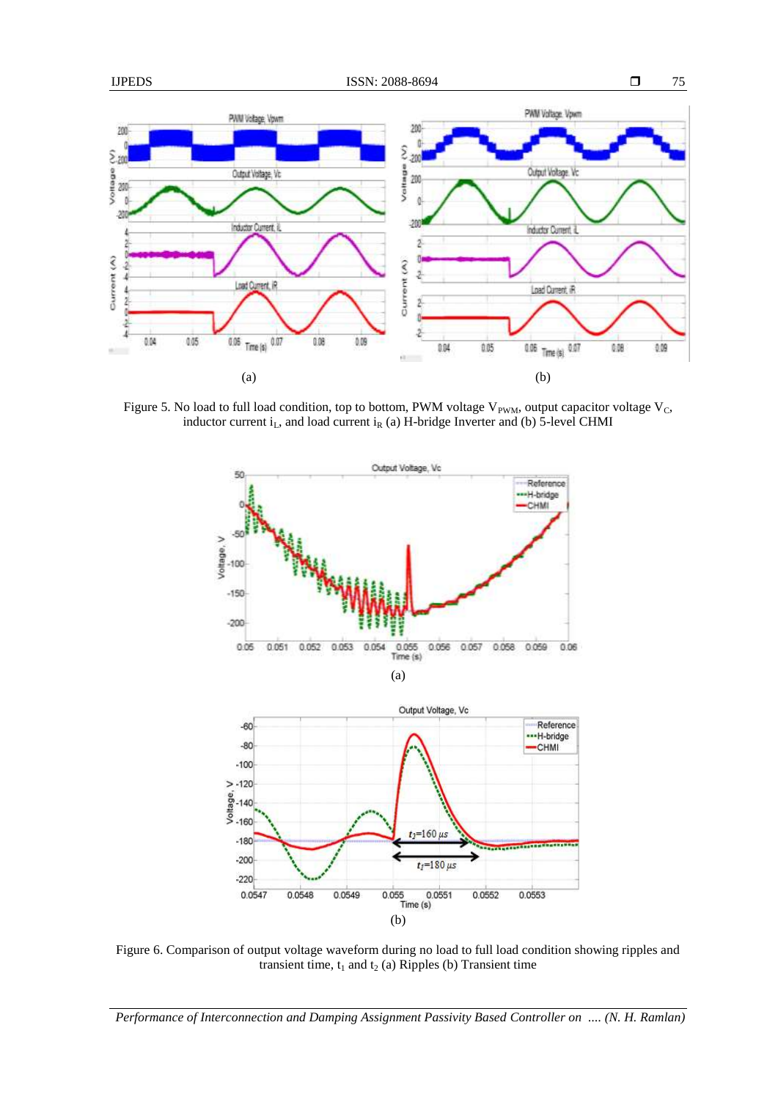

Figure 5. No load to full load condition, top to bottom, PWM voltage  $V_{PWM}$ , output capacitor voltage  $V_C$ , inductor current  $i_L$ , and load current  $i_R$  (a) H-bridge Inverter and (b) 5-level CHMI



Figure 6. Comparison of output voltage waveform during no load to full load condition showing ripples and transient time,  $t_1$  and  $t_2$  (a) Ripples (b) Transient time

*Performance of Interconnection and Damping Assignment Passivity Based Controller on .... (N. H. Ramlan)*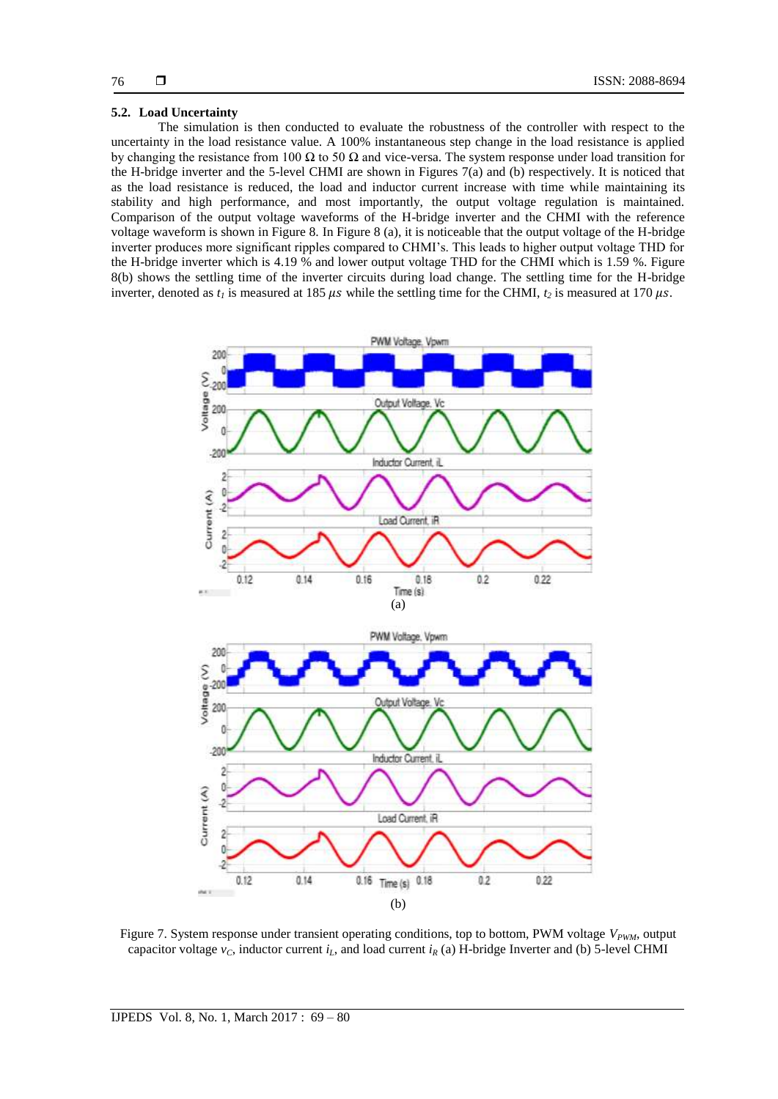## **5.2. Load Uncertainty**

The simulation is then conducted to evaluate the robustness of the controller with respect to the uncertainty in the load resistance value. A 100% instantaneous step change in the load resistance is applied by changing the resistance from 100  $\Omega$  to 50  $\Omega$  and vice-versa. The system response under load transition for the H-bridge inverter and the 5-level CHMI are shown in Figures 7(a) and (b) respectively. It is noticed that as the load resistance is reduced, the load and inductor current increase with time while maintaining its stability and high performance, and most importantly, the output voltage regulation is maintained. Comparison of the output voltage waveforms of the H-bridge inverter and the CHMI with the reference voltage waveform is shown in Figure 8. In Figure 8 (a), it is noticeable that the output voltage of the H-bridge inverter produces more significant ripples compared to CHMI's. This leads to higher output voltage THD for the H-bridge inverter which is 4.19 % and lower output voltage THD for the CHMI which is 1.59 %. Figure 8(b) shows the settling time of the inverter circuits during load change. The settling time for the H-bridge inverter, denoted as  $t_i$  is measured at 185  $\mu s$  while the settling time for the CHMI,  $t_2$  is measured at 170  $\mu s$ .



Figure 7. System response under transient operating conditions, top to bottom, PWM voltage  $V_{PWM}$ , output capacitor voltage  $v_C$ , inductor current  $i_L$ , and load current  $i_R$  (a) H-bridge Inverter and (b) 5-level CHMI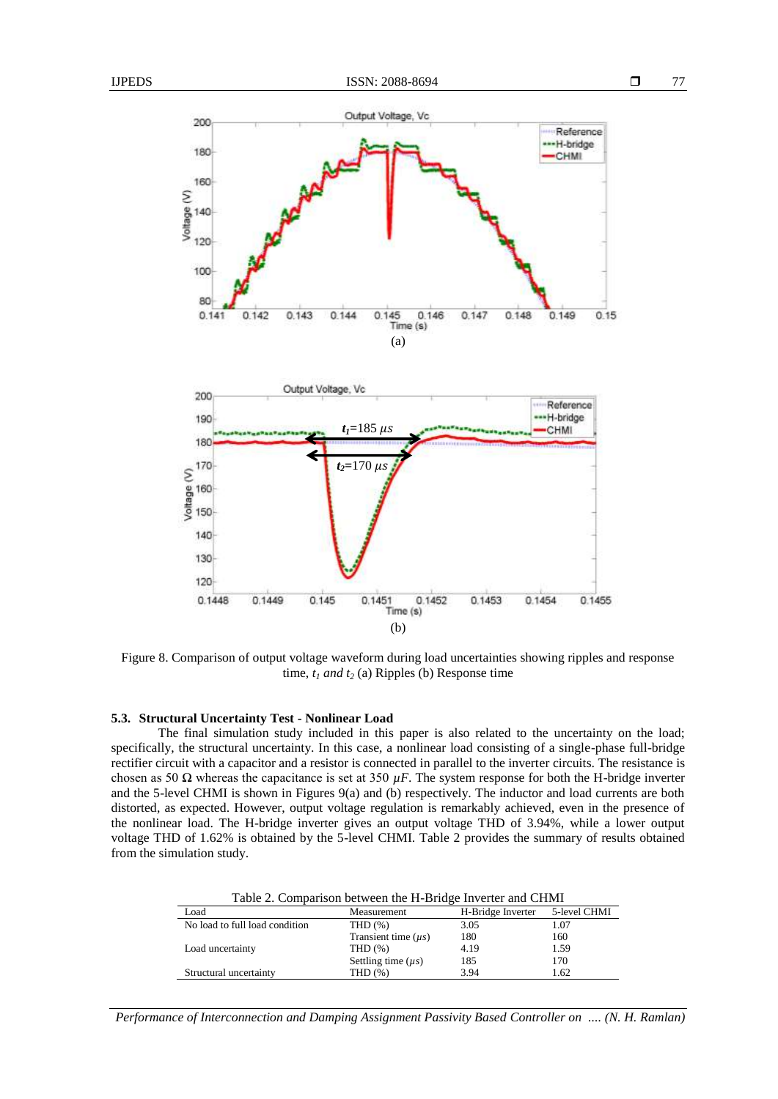

Figure 8. Comparison of output voltage waveform during load uncertainties showing ripples and response time, *t<sup>1</sup> and t<sup>2</sup>* (a) Ripples (b) Response time

# **5.3. Structural Uncertainty Test - Nonlinear Load**

The final simulation study included in this paper is also related to the uncertainty on the load; specifically, the structural uncertainty. In this case, a nonlinear load consisting of a single-phase full-bridge rectifier circuit with a capacitor and a resistor is connected in parallel to the inverter circuits. The resistance is chosen as 50  $\Omega$  whereas the capacitance is set at 350  $\mu$ F. The system response for both the H-bridge inverter and the 5-level CHMI is shown in Figures 9(a) and (b) respectively. The inductor and load currents are both distorted, as expected. However, output voltage regulation is remarkably achieved, even in the presence of the nonlinear load. The H-bridge inverter gives an output voltage THD of 3.94%, while a lower output voltage THD of 1.62% is obtained by the 5-level CHMI. Table 2 provides the summary of results obtained from the simulation study.

| Table 2. Comparison between the H-Bridge Inverter and CHMI |                          |                   |              |  |
|------------------------------------------------------------|--------------------------|-------------------|--------------|--|
| Load                                                       | Measurement              | H-Bridge Inverter | 5-level CHMI |  |
| No load to full load condition                             | THD $(\%)$               | 3.05              | 1.07         |  |
|                                                            | Transient time $(\mu s)$ | 180               | 160          |  |
| Load uncertainty                                           | THD $(\%)$               | 4.19              | 1.59         |  |
|                                                            | Settling time $(\mu s)$  | 185               | 170          |  |
| Structural uncertainty                                     | THD (%)                  | 3.94              | 1.62         |  |

Table 2. Comparison between the H-Bridge Inverter and CHMI

*Performance of Interconnection and Damping Assignment Passivity Based Controller on .... (N. H. Ramlan)*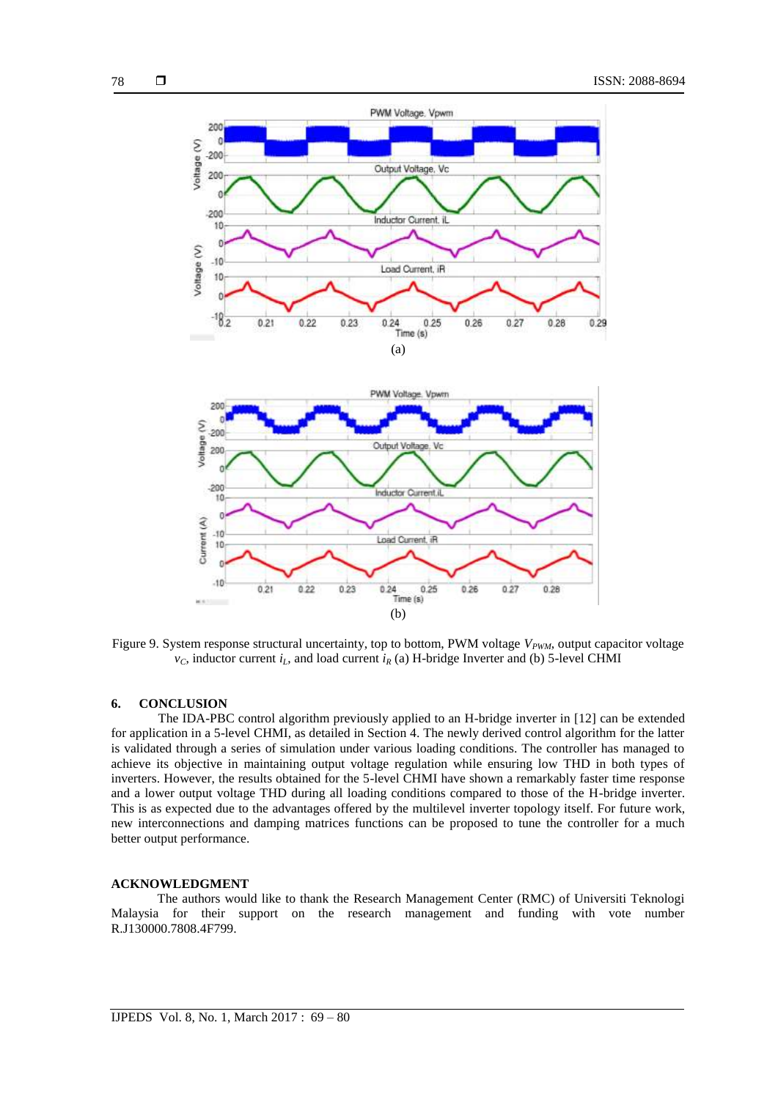

Figure 9. System response structural uncertainty, top to bottom, PWM voltage  $V_{PWM}$ , output capacitor voltage  $v_C$ , inductor current  $i_L$ , and load current  $i_R$  (a) H-bridge Inverter and (b) 5-level CHMI

### **6. CONCLUSION**

The IDA-PBC control algorithm previously applied to an H-bridge inverter in [12] can be extended for application in a 5-level CHMI, as detailed in Section 4. The newly derived control algorithm for the latter is validated through a series of simulation under various loading conditions. The controller has managed to achieve its objective in maintaining output voltage regulation while ensuring low THD in both types of inverters. However, the results obtained for the 5-level CHMI have shown a remarkably faster time response and a lower output voltage THD during all loading conditions compared to those of the H-bridge inverter. This is as expected due to the advantages offered by the multilevel inverter topology itself. For future work, new interconnections and damping matrices functions can be proposed to tune the controller for a much better output performance.

## **ACKNOWLEDGMENT**

The authors would like to thank the Research Management Center (RMC) of Universiti Teknologi Malaysia for their support on the research management and funding with vote number R.J130000.7808.4F799.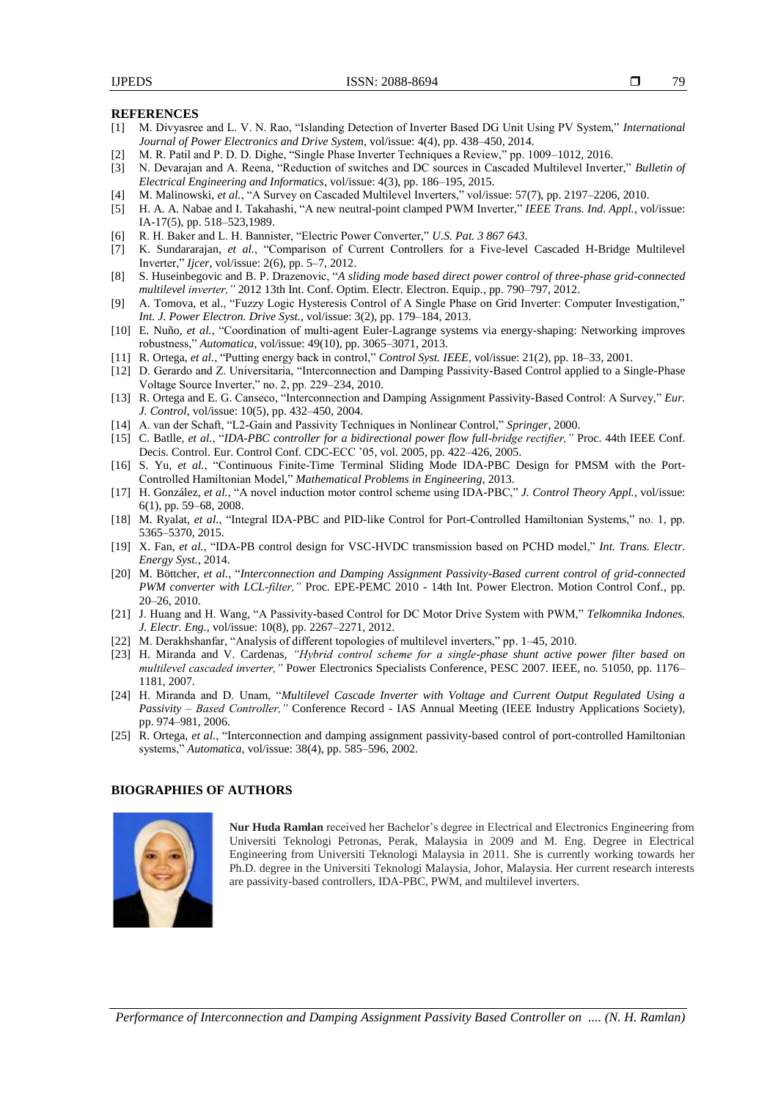79

#### **REFERENCES**

- [1] M. Divyasree and L. V. N. Rao, "Islanding Detection of Inverter Based DG Unit Using PV System," *International Journal of Power Electronics and Drive System*, vol/issue: 4(4), pp. 438–450, 2014.
- [2] M. R. Patil and P. D. D. Dighe, "Single Phase Inverter Techniques a Review," pp. 1009–1012, 2016.
- [3] N. Devarajan and A. Reena, "Reduction of switches and DC sources in Cascaded Multilevel Inverter," *Bulletin of Electrical Engineering and Informatics*, vol/issue: 4(3), pp. 186–195, 2015.
- [4] M. Malinowski, *et al.*, "A Survey on Cascaded Multilevel Inverters," vol/issue: 57(7), pp. 2197–2206, 2010.
- [5] H. A. A. Nabae and I. Takahashi, "A new neutral-point clamped PWM Inverter," *IEEE Trans. Ind. Appl.*, vol/issue: IA-17(5), pp. 518–523,1989.
- [6] R. H. Baker and L. H. Bannister, "Electric Power Converter," *U.S. Pat. 3 867 643*.
- [7] K. Sundararajan, *et al.*, "Comparison of Current Controllers for a Five-level Cascaded H-Bridge Multilevel Inverter," *Ijcer*, vol/issue: 2(6), pp. 5–7, 2012.
- [8] S. Huseinbegovic and B. P. Drazenovic, "*A sliding mode based direct power control of three-phase grid-connected multilevel inverter,"* 2012 13th Int. Conf. Optim. Electr. Electron. Equip., pp. 790–797, 2012.
- [9] A. Tomova, et al., "Fuzzy Logic Hysteresis Control of A Single Phase on Grid Inverter: Computer Investigation," *Int. J. Power Electron. Drive Syst.*, vol/issue: 3(2), pp. 179–184, 2013.
- [10] E. Nuño, *et al.*, "Coordination of multi-agent Euler-Lagrange systems via energy-shaping: Networking improves robustness," *Automatica*, vol/issue: 49(10), pp. 3065–3071, 2013.
- [11] R. Ortega, *et al.*, "Putting energy back in control," *Control Syst. IEEE*, vol/issue: 21(2), pp. 18–33, 2001.
- [12] D. Gerardo and Z. Universitaria, "Interconnection and Damping Passivity-Based Control applied to a Single-Phase Voltage Source Inverter," no. 2, pp. 229–234, 2010.
- [13] R. Ortega and E. G. Canseco, "Interconnection and Damping Assignment Passivity-Based Control: A Survey," *Eur. J. Control*, vol/issue: 10(5), pp. 432–450, 2004.
- [14] A. van der Schaft, "L2-Gain and Passivity Techniques in Nonlinear Control," *Springer*, 2000.
- [15] C. Batlle, *et al.*, "*IDA-PBC controller for a bidirectional power flow full-bridge rectifier,"* Proc. 44th IEEE Conf. Decis. Control. Eur. Control Conf. CDC-ECC '05, vol. 2005, pp. 422–426, 2005.
- [16] S. Yu, *et al.*, "Continuous Finite-Time Terminal Sliding Mode IDA-PBC Design for PMSM with the Port-Controlled Hamiltonian Model," *Mathematical Problems in Engineering*, 2013.
- [17] H. González, *et al.*, "A novel induction motor control scheme using IDA-PBC," *J. Control Theory Appl.*, vol/issue: 6(1), pp. 59–68, 2008.
- [18] M. Ryalat, *et al.*, "Integral IDA-PBC and PID-like Control for Port-Controlled Hamiltonian Systems," no. 1, pp. 5365–5370, 2015.
- [19] X. Fan, *et al.*, "IDA-PB control design for VSC-HVDC transmission based on PCHD model," *Int. Trans. Electr. Energy Syst.*, 2014.
- [20] M. Böttcher, *et al.*, "*Interconnection and Damping Assignment Passivity-Based current control of grid-connected PWM converter with LCL-filter,"* Proc. EPE-PEMC 2010 - 14th Int. Power Electron. Motion Control Conf., pp. 20–26, 2010.
- [21] J. Huang and H. Wang, "A Passivity-based Control for DC Motor Drive System with PWM," *Telkomnika Indones. J. Electr. Eng.*, vol/issue: 10(8), pp. 2267–2271, 2012.
- [22] M. Derakhshanfar, "Analysis of different topologies of multilevel inverters," pp. 1–45, 2010.
- [23] H. Miranda and V. Cardenas, *"Hybrid control scheme for a single-phase shunt active power filter based on multilevel cascaded inverter,"* Power Electronics Specialists Conference, PESC 2007. IEEE, no. 51050, pp. 1176– 1181, 2007.
- [24] H. Miranda and D. Unam, "*Multilevel Cascade Inverter with Voltage and Current Output Regulated Using a Passivity – Based Controller,"* Conference Record - IAS Annual Meeting (IEEE Industry Applications Society), pp. 974–981, 2006.
- [25] R. Ortega, et al., "Interconnection and damping assignment passivity-based control of port-controlled Hamiltonian systems," *Automatica*, vol/issue: 38(4), pp. 585–596, 2002.

#### **BIOGRAPHIES OF AUTHORS**



**Nur Huda Ramlan** received her Bachelor's degree in Electrical and Electronics Engineering from Universiti Teknologi Petronas, Perak, Malaysia in 2009 and M. Eng. Degree in Electrical Engineering from Universiti Teknologi Malaysia in 2011. She is currently working towards her Ph.D. degree in the Universiti Teknologi Malaysia, Johor, Malaysia. Her current research interests are passivity-based controllers, IDA-PBC, PWM, and multilevel inverters.